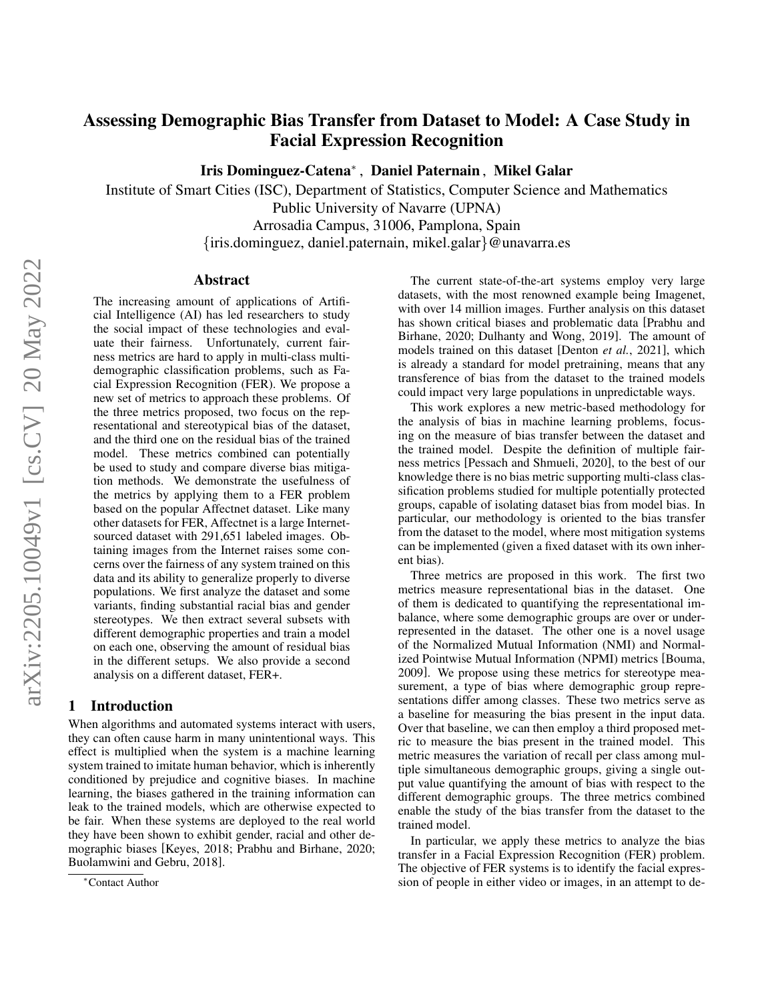# Assessing Demographic Bias Transfer from Dataset to Model: A Case Study in Facial Expression Recognition

Iris Dominguez-Catena<sup>∗</sup> , Daniel Paternain , Mikel Galar

Institute of Smart Cities (ISC), Department of Statistics, Computer Science and Mathematics Public University of Navarre (UPNA) Arrosadia Campus, 31006, Pamplona, Spain {iris.dominguez, daniel.paternain, mikel.galar}@unavarra.es

#### Abstract

The increasing amount of applications of Artificial Intelligence (AI) has led researchers to study the social impact of these technologies and evaluate their fairness. Unfortunately, current fairness metrics are hard to apply in multi-class multidemographic classification problems, such as Facial Expression Recognition (FER). We propose a new set of metrics to approach these problems. Of the three metrics proposed, two focus on the representational and stereotypical bias of the dataset, and the third one on the residual bias of the trained model. These metrics combined can potentially be used to study and compare diverse bias mitigation methods. We demonstrate the usefulness of the metrics by applying them to a FER problem based on the popular Affectnet dataset. Like many other datasets for FER, Affectnet is a large Internetsourced dataset with 291,651 labeled images. Obtaining images from the Internet raises some concerns over the fairness of any system trained on this data and its ability to generalize properly to diverse populations. We first analyze the dataset and some variants, finding substantial racial bias and gender stereotypes. We then extract several subsets with different demographic properties and train a model on each one, observing the amount of residual bias in the different setups. We also provide a second analysis on a different dataset, FER+.

### 1 Introduction

When algorithms and automated systems interact with users, they can often cause harm in many unintentional ways. This effect is multiplied when the system is a machine learning system trained to imitate human behavior, which is inherently conditioned by prejudice and cognitive biases. In machine learning, the biases gathered in the training information can leak to the trained models, which are otherwise expected to be fair. When these systems are deployed to the real world they have been shown to exhibit gender, racial and other demographic biases [\[Keyes, 2018;](#page-7-0) [Prabhu and Birhane, 2020;](#page-7-1) [Buolamwini and Gebru, 2018\]](#page-6-0).

The current state-of-the-art systems employ very large datasets, with the most renowned example being Imagenet, with over 14 million images. Further analysis on this dataset has shown critical biases and problematic data [\[Prabhu and](#page-7-1) [Birhane, 2020;](#page-7-1) [Dulhanty and Wong, 2019\]](#page-6-1). The amount of models trained on this dataset [\[Denton](#page-6-2) *et al.*, 2021], which is already a standard for model pretraining, means that any transference of bias from the dataset to the trained models could impact very large populations in unpredictable ways.

This work explores a new metric-based methodology for the analysis of bias in machine learning problems, focusing on the measure of bias transfer between the dataset and the trained model. Despite the definition of multiple fairness metrics [\[Pessach and Shmueli, 2020\]](#page-7-2), to the best of our knowledge there is no bias metric supporting multi-class classification problems studied for multiple potentially protected groups, capable of isolating dataset bias from model bias. In particular, our methodology is oriented to the bias transfer from the dataset to the model, where most mitigation systems can be implemented (given a fixed dataset with its own inherent bias).

Three metrics are proposed in this work. The first two metrics measure representational bias in the dataset. One of them is dedicated to quantifying the representational imbalance, where some demographic groups are over or underrepresented in the dataset. The other one is a novel usage of the Normalized Mutual Information (NMI) and Normalized Pointwise Mutual Information (NPMI) metrics [\[Bouma,](#page-6-3) [2009\]](#page-6-3). We propose using these metrics for stereotype measurement, a type of bias where demographic group representations differ among classes. These two metrics serve as a baseline for measuring the bias present in the input data. Over that baseline, we can then employ a third proposed metric to measure the bias present in the trained model. This metric measures the variation of recall per class among multiple simultaneous demographic groups, giving a single output value quantifying the amount of bias with respect to the different demographic groups. The three metrics combined enable the study of the bias transfer from the dataset to the trained model.

In particular, we apply these metrics to analyze the bias transfer in a Facial Expression Recognition (FER) problem. The objective of FER systems is to identify the facial expression of people in either video or images, in an attempt to de-

<sup>∗</sup>Contact Author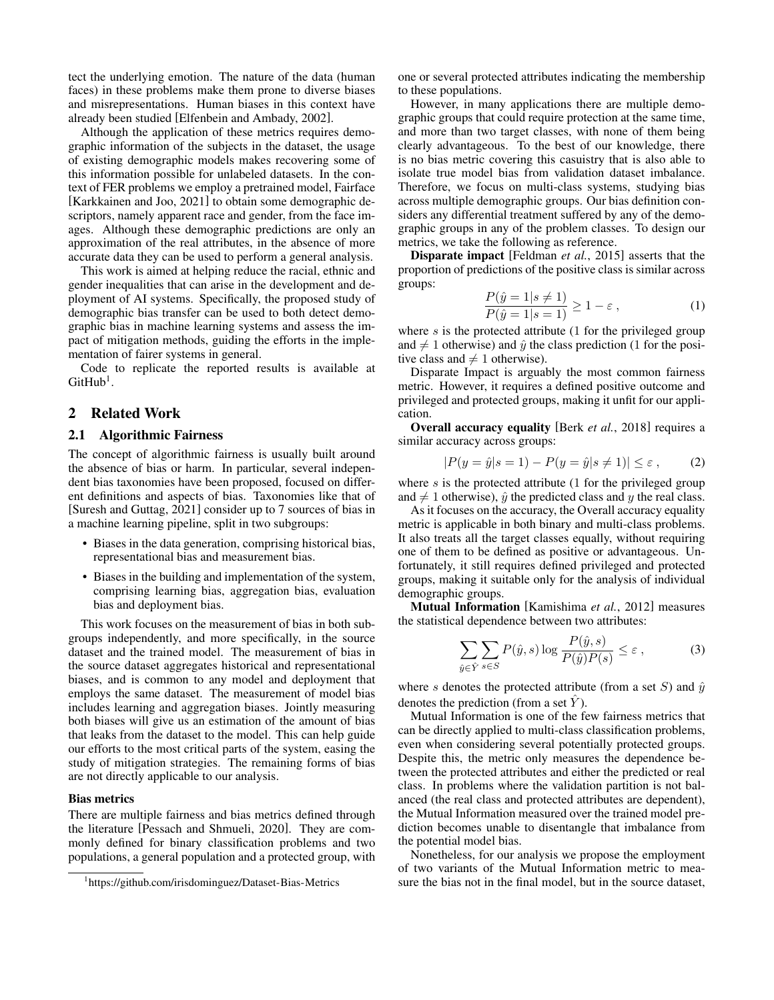tect the underlying emotion. The nature of the data (human faces) in these problems make them prone to diverse biases and misrepresentations. Human biases in this context have already been studied [\[Elfenbein and Ambady, 2002\]](#page-6-4).

Although the application of these metrics requires demographic information of the subjects in the dataset, the usage of existing demographic models makes recovering some of this information possible for unlabeled datasets. In the context of FER problems we employ a pretrained model, Fairface [\[Karkkainen and Joo, 2021\]](#page-7-3) to obtain some demographic descriptors, namely apparent race and gender, from the face images. Although these demographic predictions are only an approximation of the real attributes, in the absence of more accurate data they can be used to perform a general analysis.

This work is aimed at helping reduce the racial, ethnic and gender inequalities that can arise in the development and deployment of AI systems. Specifically, the proposed study of demographic bias transfer can be used to both detect demographic bias in machine learning systems and assess the impact of mitigation methods, guiding the efforts in the implementation of fairer systems in general.

Code to replicate the reported results is available at  $G$ it $H$ ub<sup>[1](#page-1-0)</sup>.

### 2 Related Work

#### 2.1 Algorithmic Fairness

The concept of algorithmic fairness is usually built around the absence of bias or harm. In particular, several independent bias taxonomies have been proposed, focused on different definitions and aspects of bias. Taxonomies like that of [\[Suresh and Guttag, 2021\]](#page-7-4) consider up to 7 sources of bias in a machine learning pipeline, split in two subgroups:

- Biases in the data generation, comprising historical bias, representational bias and measurement bias.
- Biases in the building and implementation of the system, comprising learning bias, aggregation bias, evaluation bias and deployment bias.

This work focuses on the measurement of bias in both subgroups independently, and more specifically, in the source dataset and the trained model. The measurement of bias in the source dataset aggregates historical and representational biases, and is common to any model and deployment that employs the same dataset. The measurement of model bias includes learning and aggregation biases. Jointly measuring both biases will give us an estimation of the amount of bias that leaks from the dataset to the model. This can help guide our efforts to the most critical parts of the system, easing the study of mitigation strategies. The remaining forms of bias are not directly applicable to our analysis.

#### <span id="page-1-1"></span>Bias metrics

There are multiple fairness and bias metrics defined through the literature [\[Pessach and Shmueli, 2020\]](#page-7-2). They are commonly defined for binary classification problems and two populations, a general population and a protected group, with one or several protected attributes indicating the membership to these populations.

However, in many applications there are multiple demographic groups that could require protection at the same time, and more than two target classes, with none of them being clearly advantageous. To the best of our knowledge, there is no bias metric covering this casuistry that is also able to isolate true model bias from validation dataset imbalance. Therefore, we focus on multi-class systems, studying bias across multiple demographic groups. Our bias definition considers any differential treatment suffered by any of the demographic groups in any of the problem classes. To design our metrics, we take the following as reference.

Disparate impact [\[Feldman](#page-6-5) *et al.*, 2015] asserts that the proportion of predictions of the positive class is similar across groups:

$$
\frac{P(\hat{y} = 1 | s \neq 1)}{P(\hat{y} = 1 | s = 1)} \ge 1 - \varepsilon ,
$$
\n(1)

where  $s$  is the protected attribute (1 for the privileged group and  $\neq 1$  otherwise) and  $\hat{y}$  the class prediction (1 for the positive class and  $\neq 1$  otherwise).

Disparate Impact is arguably the most common fairness metric. However, it requires a defined positive outcome and privileged and protected groups, making it unfit for our application.

Overall accuracy equality [Berk *et al.*[, 2018\]](#page-6-6) requires a similar accuracy across groups:

$$
|P(y = \hat{y}|s = 1) - P(y = \hat{y}|s \neq 1)| \leq \varepsilon, \quad (2)
$$

where  $s$  is the protected attribute  $(1$  for the privileged group and  $\neq 1$  otherwise),  $\hat{y}$  the predicted class and y the real class.

As it focuses on the accuracy, the Overall accuracy equality metric is applicable in both binary and multi-class problems. It also treats all the target classes equally, without requiring one of them to be defined as positive or advantageous. Unfortunately, it still requires defined privileged and protected groups, making it suitable only for the analysis of individual demographic groups.

Mutual Information [\[Kamishima](#page-7-5) *et al.*, 2012] measures the statistical dependence between two attributes:

$$
\sum_{\hat{y}\in\hat{Y}}\sum_{s\in S}P(\hat{y},s)\log\frac{P(\hat{y},s)}{P(\hat{y})P(s)} \le \varepsilon\,,\tag{3}
$$

where s denotes the protected attribute (from a set S) and  $\hat{y}$ denotes the prediction (from a set  $\hat{Y}$ ).

Mutual Information is one of the few fairness metrics that can be directly applied to multi-class classification problems, even when considering several potentially protected groups. Despite this, the metric only measures the dependence between the protected attributes and either the predicted or real class. In problems where the validation partition is not balanced (the real class and protected attributes are dependent), the Mutual Information measured over the trained model prediction becomes unable to disentangle that imbalance from the potential model bias.

Nonetheless, for our analysis we propose the employment of two variants of the Mutual Information metric to measure the bias not in the final model, but in the source dataset,

<span id="page-1-0"></span><sup>1</sup> <https://github.com/irisdominguez/Dataset-Bias-Metrics>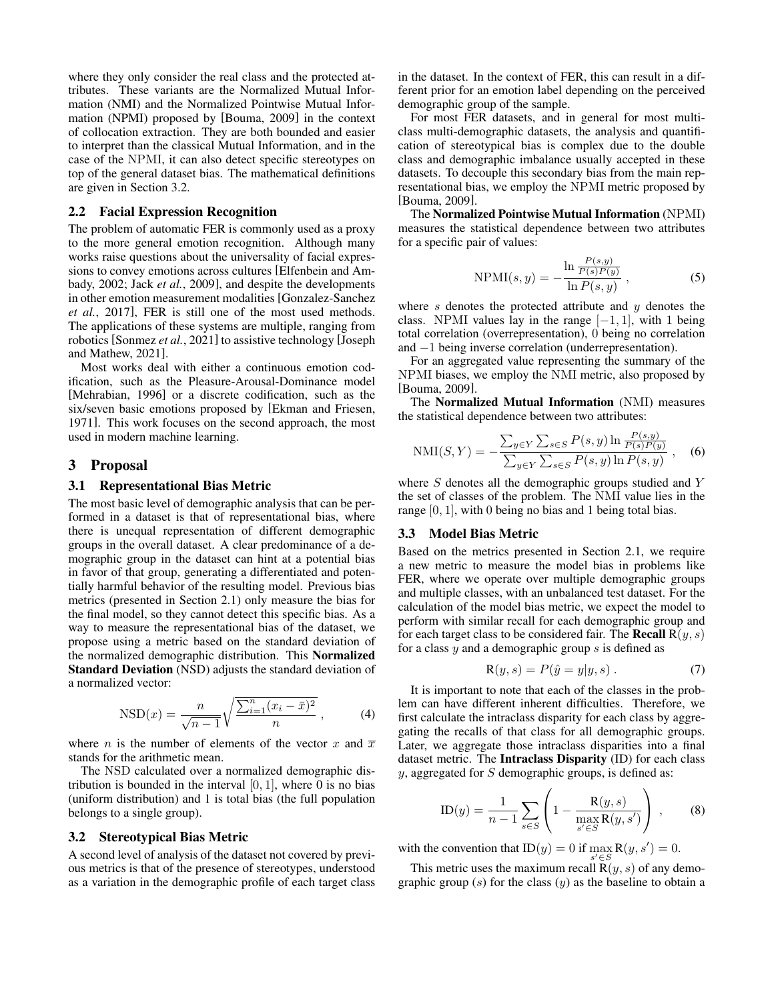where they only consider the real class and the protected attributes. These variants are the Normalized Mutual Information (NMI) and the Normalized Pointwise Mutual Information (NPMI) proposed by [\[Bouma, 2009\]](#page-6-3) in the context of collocation extraction. They are both bounded and easier to interpret than the classical Mutual Information, and in the case of the NPMI, it can also detect specific stereotypes on top of the general dataset bias. The mathematical definitions are given in Section [3.2.](#page-2-0)

#### 2.2 Facial Expression Recognition

The problem of automatic FER is commonly used as a proxy to the more general emotion recognition. Although many works raise questions about the universality of facial expressions to convey emotions across cultures [\[Elfenbein and Am](#page-6-4)[bady, 2002;](#page-6-4) Jack *et al.*[, 2009\]](#page-6-7), and despite the developments in other emotion measurement modalities [\[Gonzalez-Sanchez](#page-6-8) *et al.*[, 2017\]](#page-6-8), FER is still one of the most used methods. The applications of these systems are multiple, ranging from robotics [\[Sonmez](#page-7-6) *et al.*, 2021] to assistive technology [\[Joseph](#page-6-9) [and Mathew, 2021\]](#page-6-9).

Most works deal with either a continuous emotion codification, such as the Pleasure-Arousal-Dominance model [\[Mehrabian, 1996\]](#page-7-7) or a discrete codification, such as the six/seven basic emotions proposed by [\[Ekman and Friesen,](#page-6-10) [1971\]](#page-6-10). This work focuses on the second approach, the most used in modern machine learning.

#### 3 Proposal

#### <span id="page-2-1"></span>3.1 Representational Bias Metric

The most basic level of demographic analysis that can be performed in a dataset is that of representational bias, where there is unequal representation of different demographic groups in the overall dataset. A clear predominance of a demographic group in the dataset can hint at a potential bias in favor of that group, generating a differentiated and potentially harmful behavior of the resulting model. Previous bias metrics (presented in Section [2.1\)](#page-1-1) only measure the bias for the final model, so they cannot detect this specific bias. As a way to measure the representational bias of the dataset, we propose using a metric based on the standard deviation of the normalized demographic distribution. This Normalized Standard Deviation (NSD) adjusts the standard deviation of a normalized vector:

$$
NSD(x) = \frac{n}{\sqrt{n-1}} \sqrt{\frac{\sum_{i=1}^{n} (x_i - \bar{x})^2}{n}},
$$
 (4)

where *n* is the number of elements of the vector x and  $\overline{x}$ stands for the arithmetic mean.

The NSD calculated over a normalized demographic distribution is bounded in the interval  $[0, 1]$ , where 0 is no bias (uniform distribution) and 1 is total bias (the full population belongs to a single group).

#### <span id="page-2-0"></span>3.2 Stereotypical Bias Metric

A second level of analysis of the dataset not covered by previous metrics is that of the presence of stereotypes, understood as a variation in the demographic profile of each target class in the dataset. In the context of FER, this can result in a different prior for an emotion label depending on the perceived demographic group of the sample.

For most FER datasets, and in general for most multiclass multi-demographic datasets, the analysis and quantification of stereotypical bias is complex due to the double class and demographic imbalance usually accepted in these datasets. To decouple this secondary bias from the main representational bias, we employ the NPMI metric proposed by [\[Bouma, 2009\]](#page-6-3).

The Normalized Pointwise Mutual Information (NPMI) measures the statistical dependence between two attributes for a specific pair of values:

$$
NPMI(s, y) = -\frac{\ln \frac{P(s, y)}{P(s)P(y)}}{\ln P(s, y)},
$$
\n(5)

where  $s$  denotes the protected attribute and  $y$  denotes the class. NPMI values lay in the range  $[-1, 1]$ , with 1 being total correlation (overrepresentation), 0 being no correlation and −1 being inverse correlation (underrepresentation).

For an aggregated value representing the summary of the NPMI biases, we employ the NMI metric, also proposed by [\[Bouma, 2009\]](#page-6-3).

The Normalized Mutual Information (NMI) measures the statistical dependence between two attributes:

$$
NMI(S,Y) = -\frac{\sum_{y \in Y} \sum_{s \in S} P(s,y) \ln \frac{P(s,y)}{P(s)P(y)}}{\sum_{y \in Y} \sum_{s \in S} P(s,y) \ln P(s,y)},
$$
 (6)

where  $S$  denotes all the demographic groups studied and  $Y$ the set of classes of the problem. The NMI value lies in the range [0, 1], with 0 being no bias and 1 being total bias.

#### <span id="page-2-2"></span>3.3 Model Bias Metric

Based on the metrics presented in Section [2.1,](#page-1-1) we require a new metric to measure the model bias in problems like FER, where we operate over multiple demographic groups and multiple classes, with an unbalanced test dataset. For the calculation of the model bias metric, we expect the model to perform with similar recall for each demographic group and for each target class to be considered fair. The **Recall**  $R(y, s)$ for a class  $y$  and a demographic group  $s$  is defined as

$$
\mathbf{R}(y,s) = P(\hat{y} = y | y, s).
$$
 (7)

It is important to note that each of the classes in the problem can have different inherent difficulties. Therefore, we first calculate the intraclass disparity for each class by aggregating the recalls of that class for all demographic groups. Later, we aggregate those intraclass disparities into a final dataset metric. The Intraclass Disparity (ID) for each class  $y$ , aggregated for S demographic groups, is defined as:

$$
ID(y) = \frac{1}{n-1} \sum_{s \in S} \left( 1 - \frac{R(y, s)}{\max_{s' \in S} R(y, s')} \right) , \quad (8)
$$

with the convention that  $ID(y) = 0$  if  $\max_{s' \in S} R(y, s') = 0$ .

This metric uses the maximum recall  $\mathbf{R}(y, s)$  of any demographic group  $(s)$  for the class  $(y)$  as the baseline to obtain a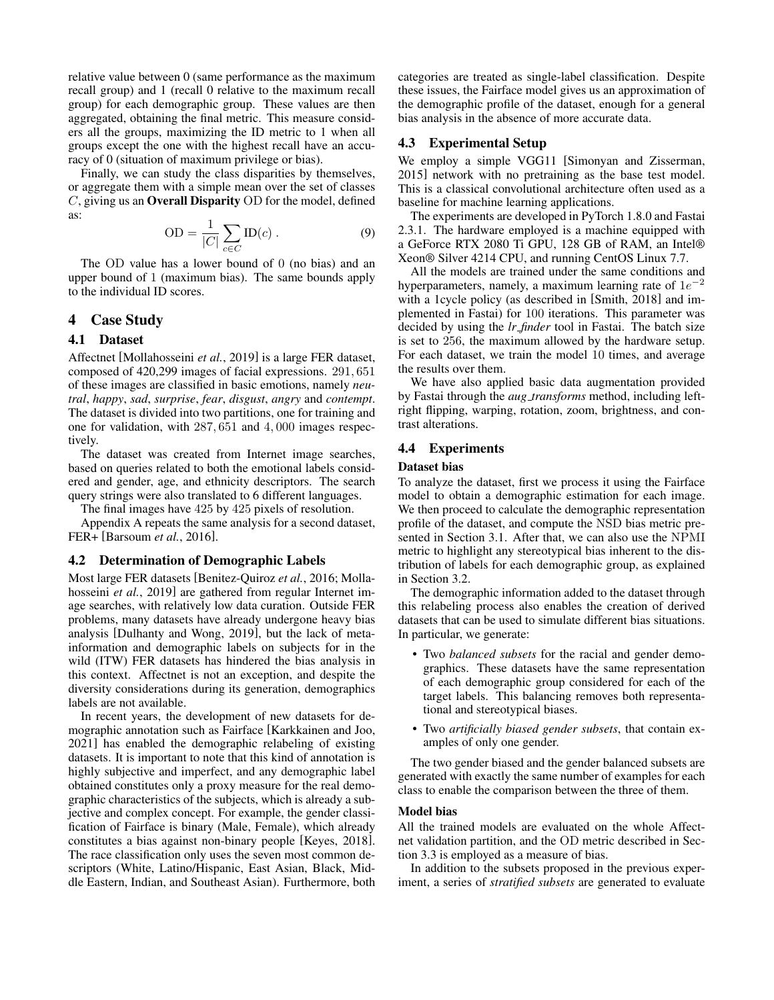relative value between 0 (same performance as the maximum recall group) and 1 (recall 0 relative to the maximum recall group) for each demographic group. These values are then aggregated, obtaining the final metric. This measure considers all the groups, maximizing the ID metric to 1 when all groups except the one with the highest recall have an accuracy of 0 (situation of maximum privilege or bias).

Finally, we can study the class disparities by themselves, or aggregate them with a simple mean over the set of classes C, giving us an Overall Disparity OD for the model, defined as:

$$
OD = \frac{1}{|C|} \sum_{c \in C} ID(c) . \tag{9}
$$

The OD value has a lower bound of 0 (no bias) and an upper bound of 1 (maximum bias). The same bounds apply to the individual ID scores.

### 4 Case Study

### 4.1 Dataset

Affectnet [\[Mollahosseini](#page-7-8) *et al.*, 2019] is a large FER dataset, composed of 420,299 images of facial expressions. 291, 651 of these images are classified in basic emotions, namely *neutral*, *happy*, *sad*, *surprise*, *fear*, *disgust*, *angry* and *contempt*. The dataset is divided into two partitions, one for training and one for validation, with 287, 651 and 4, 000 images respectively.

The dataset was created from Internet image searches, based on queries related to both the emotional labels considered and gender, age, and ethnicity descriptors. The search query strings were also translated to 6 different languages.

The final images have 425 by 425 pixels of resolution.

Appendix [A](#page-7-9) repeats the same analysis for a second dataset, FER+ [\[Barsoum](#page-6-11) *et al.*, 2016].

#### 4.2 Determination of Demographic Labels

Most large FER datasets [\[Benitez-Quiroz](#page-6-12) *et al.*, 2016; [Molla](#page-7-8)[hosseini](#page-7-8) *et al.*, 2019] are gathered from regular Internet image searches, with relatively low data curation. Outside FER problems, many datasets have already undergone heavy bias analysis [\[Dulhanty and Wong, 2019\]](#page-6-1), but the lack of metainformation and demographic labels on subjects for in the wild (ITW) FER datasets has hindered the bias analysis in this context. Affectnet is not an exception, and despite the diversity considerations during its generation, demographics labels are not available.

In recent years, the development of new datasets for demographic annotation such as Fairface [\[Karkkainen and Joo,](#page-7-3) [2021\]](#page-7-3) has enabled the demographic relabeling of existing datasets. It is important to note that this kind of annotation is highly subjective and imperfect, and any demographic label obtained constitutes only a proxy measure for the real demographic characteristics of the subjects, which is already a subjective and complex concept. For example, the gender classification of Fairface is binary (Male, Female), which already constitutes a bias against non-binary people [\[Keyes, 2018\]](#page-7-0). The race classification only uses the seven most common descriptors (White, Latino/Hispanic, East Asian, Black, Middle Eastern, Indian, and Southeast Asian). Furthermore, both categories are treated as single-label classification. Despite these issues, the Fairface model gives us an approximation of the demographic profile of the dataset, enough for a general bias analysis in the absence of more accurate data.

### <span id="page-3-0"></span>4.3 Experimental Setup

We employ a simple VGG11 [\[Simonyan and Zisserman,](#page-7-10) [2015\]](#page-7-10) network with no pretraining as the base test model. This is a classical convolutional architecture often used as a baseline for machine learning applications.

The experiments are developed in PyTorch 1.8.0 and Fastai 2.3.1. The hardware employed is a machine equipped with a GeForce RTX 2080 Ti GPU, 128 GB of RAM, an Intel® Xeon® Silver 4214 CPU, and running CentOS Linux 7.7.

All the models are trained under the same conditions and hyperparameters, namely, a maximum learning rate of  $1e^{-2}$ with a 1cycle policy (as described in [\[Smith, 2018\]](#page-7-11) and implemented in Fastai) for 100 iterations. This parameter was decided by using the *lr finder* tool in Fastai. The batch size is set to 256, the maximum allowed by the hardware setup. For each dataset, we train the model 10 times, and average the results over them.

We have also applied basic data augmentation provided by Fastai through the *aug transforms* method, including leftright flipping, warping, rotation, zoom, brightness, and contrast alterations.

#### 4.4 Experiments

#### Dataset bias

To analyze the dataset, first we process it using the Fairface model to obtain a demographic estimation for each image. We then proceed to calculate the demographic representation profile of the dataset, and compute the NSD bias metric presented in Section [3.1.](#page-2-1) After that, we can also use the NPMI metric to highlight any stereotypical bias inherent to the distribution of labels for each demographic group, as explained in Section [3.2.](#page-2-0)

The demographic information added to the dataset through this relabeling process also enables the creation of derived datasets that can be used to simulate different bias situations. In particular, we generate:

- Two *balanced subsets* for the racial and gender demographics. These datasets have the same representation of each demographic group considered for each of the target labels. This balancing removes both representational and stereotypical biases.
- Two *artificially biased gender subsets*, that contain examples of only one gender.

The two gender biased and the gender balanced subsets are generated with exactly the same number of examples for each class to enable the comparison between the three of them.

#### Model bias

All the trained models are evaluated on the whole Affectnet validation partition, and the OD metric described in Section [3.3](#page-2-2) is employed as a measure of bias.

In addition to the subsets proposed in the previous experiment, a series of *stratified subsets* are generated to evaluate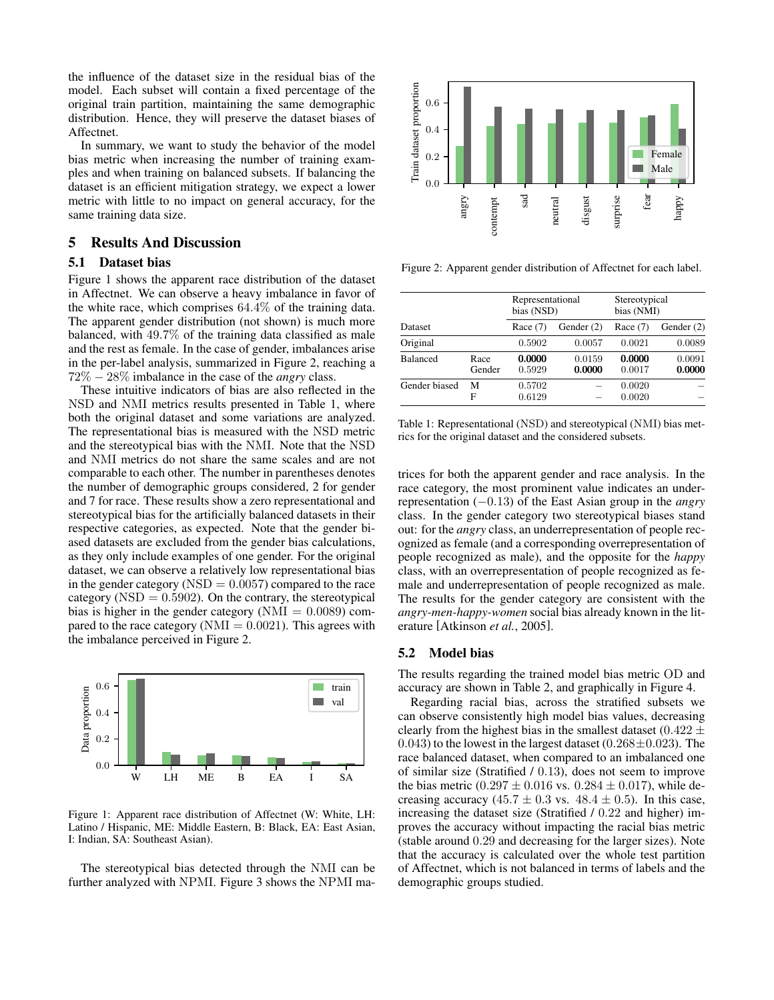the influence of the dataset size in the residual bias of the model. Each subset will contain a fixed percentage of the original train partition, maintaining the same demographic distribution. Hence, they will preserve the dataset biases of Affectnet.

In summary, we want to study the behavior of the model bias metric when increasing the number of training examples and when training on balanced subsets. If balancing the dataset is an efficient mitigation strategy, we expect a lower metric with little to no impact on general accuracy, for the same training data size.

### 5 Results And Discussion

#### 5.1 Dataset bias

Figure [1](#page-4-0) shows the apparent race distribution of the dataset in Affectnet. We can observe a heavy imbalance in favor of the white race, which comprises 64.4% of the training data. The apparent gender distribution (not shown) is much more balanced, with 49.7% of the training data classified as male and the rest as female. In the case of gender, imbalances arise in the per-label analysis, summarized in Figure [2,](#page-4-1) reaching a 72% − 28% imbalance in the case of the *angry* class.

These intuitive indicators of bias are also reflected in the NSD and NMI metrics results presented in Table [1,](#page-4-2) where both the original dataset and some variations are analyzed. The representational bias is measured with the NSD metric and the stereotypical bias with the NMI. Note that the NSD and NMI metrics do not share the same scales and are not comparable to each other. The number in parentheses denotes the number of demographic groups considered, 2 for gender and 7 for race. These results show a zero representational and stereotypical bias for the artificially balanced datasets in their respective categories, as expected. Note that the gender biased datasets are excluded from the gender bias calculations, as they only include examples of one gender. For the original dataset, we can observe a relatively low representational bias in the gender category ( $\text{NSD} = 0.0057$ ) compared to the race category ( $NSD = 0.5902$ ). On the contrary, the stereotypical bias is higher in the gender category ( $NMI = 0.0089$ ) compared to the race category ( $NMI = 0.0021$ ). This agrees with the imbalance perceived in Figure [2.](#page-4-1)

<span id="page-4-0"></span>

Figure 1: Apparent race distribution of Affectnet (W: White, LH: Latino / Hispanic, ME: Middle Eastern, B: Black, EA: East Asian, I: Indian, SA: Southeast Asian).

The stereotypical bias detected through the NMI can be further analyzed with NPMI. Figure [3](#page-5-0) shows the NPMI ma-

<span id="page-4-1"></span>

Figure 2: Apparent gender distribution of Affectnet for each label.

<span id="page-4-2"></span>

| <b>Dataset</b><br>Original |                | Representational<br>bias (NSD) |                  | Stereotypical<br>bias (NMI) |                  |
|----------------------------|----------------|--------------------------------|------------------|-----------------------------|------------------|
|                            |                | Race $(7)$                     | Gender $(2)$     | Race $(7)$                  | Gender $(2)$     |
|                            |                | 0.5902                         | 0.0057           | 0.0021                      | 0.0089           |
| <b>Balanced</b>            | Race<br>Gender | 0.0000<br>0.5929               | 0.0159<br>0.0000 | 0.0000<br>0.0017            | 0.0091<br>0.0000 |
| Gender biased              | М<br>F         | 0.5702<br>0.6129               |                  | 0.0020<br>0.0020            |                  |

Table 1: Representational (NSD) and stereotypical (NMI) bias metrics for the original dataset and the considered subsets.

trices for both the apparent gender and race analysis. In the race category, the most prominent value indicates an underrepresentation (−0.13) of the East Asian group in the *angry* class. In the gender category two stereotypical biases stand out: for the *angry* class, an underrepresentation of people recognized as female (and a corresponding overrepresentation of people recognized as male), and the opposite for the *happy* class, with an overrepresentation of people recognized as female and underrepresentation of people recognized as male. The results for the gender category are consistent with the *angry-men-happy-women* social bias already known in the literature [\[Atkinson](#page-6-13) *et al.*, 2005].

### 5.2 Model bias

The results regarding the trained model bias metric OD and accuracy are shown in Table [2,](#page-5-1) and graphically in Figure [4.](#page-5-2)

Regarding racial bias, across the stratified subsets we can observe consistently high model bias values, decreasing clearly from the highest bias in the smallest dataset (0.422  $\pm$ 0.043) to the lowest in the largest dataset (0.268 $\pm$ 0.023). The race balanced dataset, when compared to an imbalanced one of similar size (Stratified / 0.13), does not seem to improve the bias metric  $(0.297 \pm 0.016 \text{ vs. } 0.284 \pm 0.017)$ , while decreasing accuracy (45.7  $\pm$  0.3 vs. 48.4  $\pm$  0.5). In this case, increasing the dataset size (Stratified / 0.22 and higher) improves the accuracy without impacting the racial bias metric (stable around 0.29 and decreasing for the larger sizes). Note that the accuracy is calculated over the whole test partition of Affectnet, which is not balanced in terms of labels and the demographic groups studied.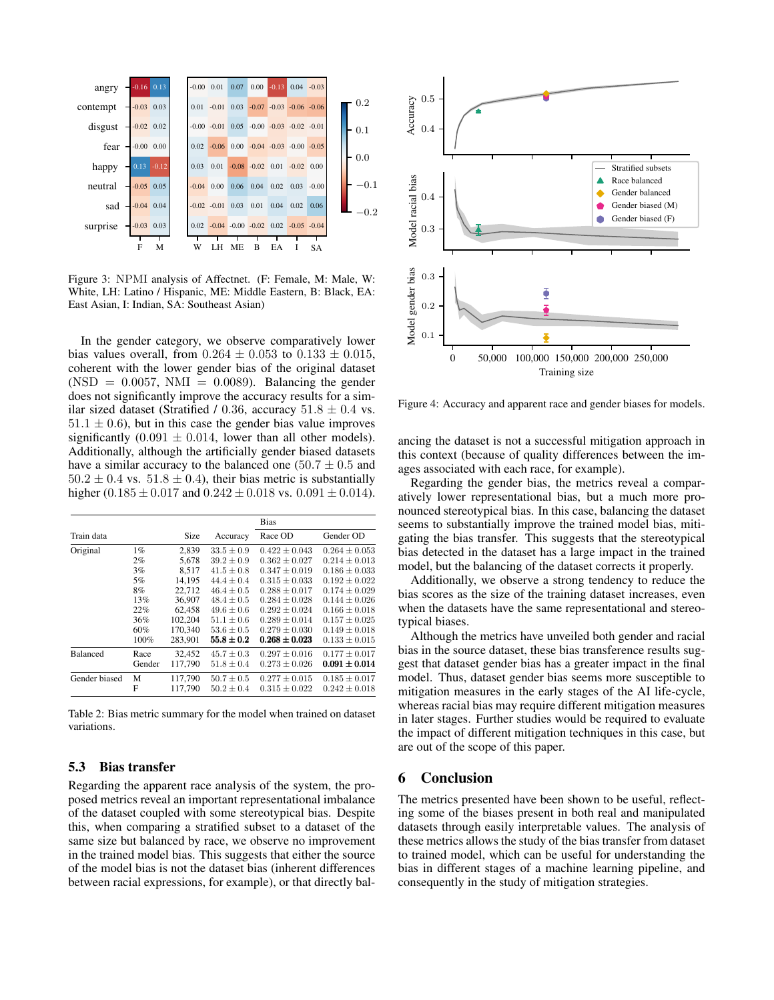<span id="page-5-0"></span>

Figure 3: NPMI analysis of Affectnet. (F: Female, M: Male, W: White, LH: Latino / Hispanic, ME: Middle Eastern, B: Black, EA: East Asian, I: Indian, SA: Southeast Asian)

In the gender category, we observe comparatively lower bias values overall, from  $0.264 \pm 0.053$  to  $0.133 \pm 0.015$ , coherent with the lower gender bias of the original dataset  $(NSD = 0.0057, NMI = 0.0089)$ . Balancing the gender does not significantly improve the accuracy results for a similar sized dataset (Stratified / 0.36, accuracy  $51.8 \pm 0.4$  vs.  $51.1 \pm 0.6$ ), but in this case the gender bias value improves significantly  $(0.091 \pm 0.014$ , lower than all other models). Additionally, although the artificially gender biased datasets have a similar accuracy to the balanced one  $(50.7 \pm 0.5 \text{ and}$  $50.2 \pm 0.4$  vs.  $51.8 \pm 0.4$ ), their bias metric is substantially higher (0.185  $\pm$  0.017 and 0.242  $\pm$  0.018 vs. 0.091  $\pm$  0.014).

<span id="page-5-1"></span>

|                 |        |         |                | <b>Bias</b>       |                   |
|-----------------|--------|---------|----------------|-------------------|-------------------|
| Train data      |        | Size    | Accuracy       | Race OD           | Gender OD         |
| Original        | $1\%$  | 2.839   | $33.5 \pm 0.9$ | $0.422 \pm 0.043$ | $0.264 \pm 0.053$ |
|                 | $2\%$  | 5.678   | $39.2 \pm 0.9$ | $0.362 \pm 0.027$ | $0.214 \pm 0.013$ |
|                 | 3%     | 8.517   | $41.5 \pm 0.8$ | $0.347 \pm 0.019$ | $0.186 \pm 0.033$ |
|                 | 5%     | 14.195  | $44.4 \pm 0.4$ | $0.315 \pm 0.033$ | $0.192 \pm 0.022$ |
|                 | 8%     | 22.712  | $46.4 + 0.5$   | $0.288 + 0.017$   | $0.174 \pm 0.029$ |
|                 | 13%    | 36,907  | $48.4 \pm 0.5$ | $0.284 \pm 0.028$ | $0.144 \pm 0.026$ |
|                 | 22%    | 62.458  | $49.6 \pm 0.6$ | $0.292 \pm 0.024$ | $0.166 \pm 0.018$ |
|                 | 36%    | 102.204 | $51.1 \pm 0.6$ | $0.289 \pm 0.014$ | $0.157 \pm 0.025$ |
|                 | 60%    | 170,340 | $53.6 \pm 0.5$ | $0.279 \pm 0.030$ | $0.149 \pm 0.018$ |
|                 | 100%   | 283.901 | $55.8 \pm 0.2$ | $0.268 \pm 0.023$ | $0.133 \pm 0.015$ |
| <b>Balanced</b> | Race   | 32,452  | $45.7 \pm 0.3$ | $0.297 \pm 0.016$ | $0.177 \pm 0.017$ |
|                 | Gender | 117.790 | $51.8 + 0.4$   | $0.273 + 0.026$   | $0.091 \pm 0.014$ |
| Gender biased   | М      | 117.790 | $50.7 \pm 0.5$ | $0.277 \pm 0.015$ | $0.185 \pm 0.017$ |
|                 | F      | 117.790 | $50.2 \pm 0.4$ | $0.315 \pm 0.022$ | $0.242 \pm 0.018$ |

Table 2: Bias metric summary for the model when trained on dataset variations.

### 5.3 Bias transfer

Regarding the apparent race analysis of the system, the proposed metrics reveal an important representational imbalance of the dataset coupled with some stereotypical bias. Despite this, when comparing a stratified subset to a dataset of the same size but balanced by race, we observe no improvement in the trained model bias. This suggests that either the source of the model bias is not the dataset bias (inherent differences between racial expressions, for example), or that directly bal-

<span id="page-5-2"></span>

Figure 4: Accuracy and apparent race and gender biases for models.

ancing the dataset is not a successful mitigation approach in this context (because of quality differences between the images associated with each race, for example).

Regarding the gender bias, the metrics reveal a comparatively lower representational bias, but a much more pronounced stereotypical bias. In this case, balancing the dataset seems to substantially improve the trained model bias, mitigating the bias transfer. This suggests that the stereotypical bias detected in the dataset has a large impact in the trained model, but the balancing of the dataset corrects it properly.

Additionally, we observe a strong tendency to reduce the bias scores as the size of the training dataset increases, even when the datasets have the same representational and stereotypical biases.

Although the metrics have unveiled both gender and racial bias in the source dataset, these bias transference results suggest that dataset gender bias has a greater impact in the final model. Thus, dataset gender bias seems more susceptible to mitigation measures in the early stages of the AI life-cycle, whereas racial bias may require different mitigation measures in later stages. Further studies would be required to evaluate the impact of different mitigation techniques in this case, but are out of the scope of this paper.

## 6 Conclusion

The metrics presented have been shown to be useful, reflecting some of the biases present in both real and manipulated datasets through easily interpretable values. The analysis of these metrics allows the study of the bias transfer from dataset to trained model, which can be useful for understanding the bias in different stages of a machine learning pipeline, and consequently in the study of mitigation strategies.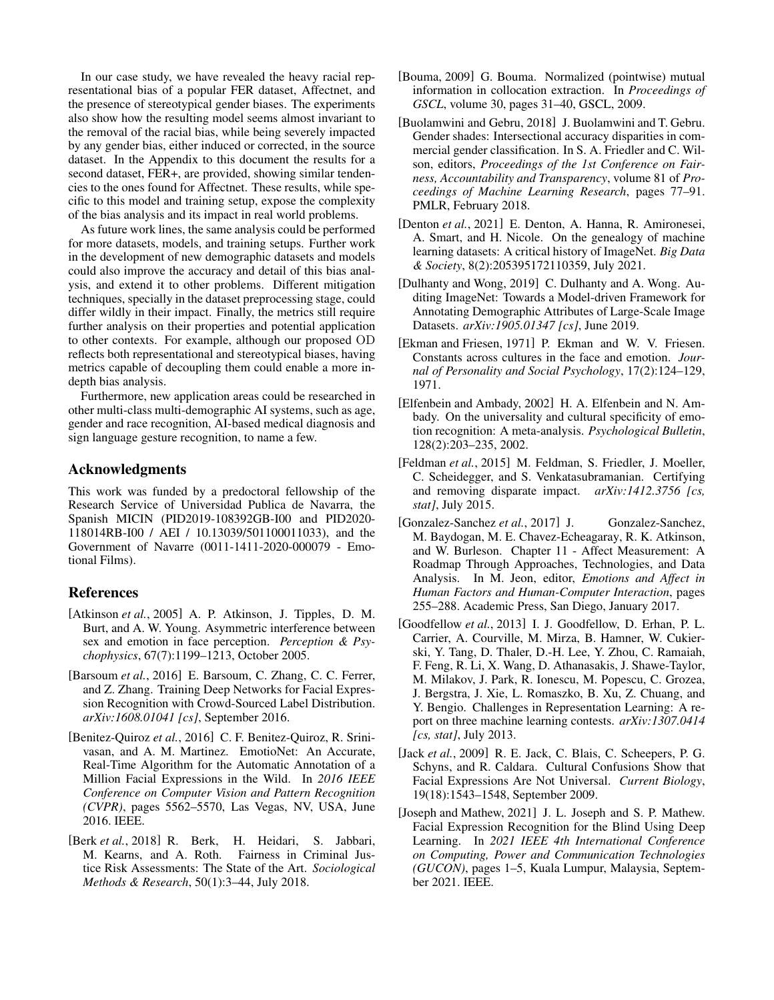In our case study, we have revealed the heavy racial representational bias of a popular FER dataset, Affectnet, and the presence of stereotypical gender biases. The experiments also show how the resulting model seems almost invariant to the removal of the racial bias, while being severely impacted by any gender bias, either induced or corrected, in the source dataset. In the Appendix to this document the results for a second dataset, FER+, are provided, showing similar tendencies to the ones found for Affectnet. These results, while specific to this model and training setup, expose the complexity of the bias analysis and its impact in real world problems.

As future work lines, the same analysis could be performed for more datasets, models, and training setups. Further work in the development of new demographic datasets and models could also improve the accuracy and detail of this bias analysis, and extend it to other problems. Different mitigation techniques, specially in the dataset preprocessing stage, could differ wildly in their impact. Finally, the metrics still require further analysis on their properties and potential application to other contexts. For example, although our proposed OD reflects both representational and stereotypical biases, having metrics capable of decoupling them could enable a more indepth bias analysis.

Furthermore, new application areas could be researched in other multi-class multi-demographic AI systems, such as age, gender and race recognition, AI-based medical diagnosis and sign language gesture recognition, to name a few.

### Acknowledgments

This work was funded by a predoctoral fellowship of the Research Service of Universidad Publica de Navarra, the Spanish MICIN (PID2019-108392GB-I00 and PID2020- 118014RB-I00 / AEI / 10.13039/501100011033), and the Government of Navarre (0011-1411-2020-000079 - Emotional Films).

### References

- <span id="page-6-13"></span>[Atkinson *et al.*, 2005] A. P. Atkinson, J. Tipples, D. M. Burt, and A. W. Young. Asymmetric interference between sex and emotion in face perception. *Perception & Psychophysics*, 67(7):1199–1213, October 2005.
- <span id="page-6-11"></span>[Barsoum *et al.*, 2016] E. Barsoum, C. Zhang, C. C. Ferrer, and Z. Zhang. Training Deep Networks for Facial Expression Recognition with Crowd-Sourced Label Distribution. *arXiv:1608.01041 [cs]*, September 2016.
- <span id="page-6-12"></span>[Benitez-Quiroz *et al.*, 2016] C. F. Benitez-Quiroz, R. Srinivasan, and A. M. Martinez. EmotioNet: An Accurate, Real-Time Algorithm for the Automatic Annotation of a Million Facial Expressions in the Wild. In *2016 IEEE Conference on Computer Vision and Pattern Recognition (CVPR)*, pages 5562–5570, Las Vegas, NV, USA, June 2016. IEEE.
- <span id="page-6-6"></span>[Berk *et al.*, 2018] R. Berk, H. Heidari, S. Jabbari, M. Kearns, and A. Roth. Fairness in Criminal Justice Risk Assessments: The State of the Art. *Sociological Methods & Research*, 50(1):3–44, July 2018.
- <span id="page-6-3"></span>[Bouma, 2009] G. Bouma. Normalized (pointwise) mutual information in collocation extraction. In *Proceedings of GSCL*, volume 30, pages 31–40, GSCL, 2009.
- <span id="page-6-0"></span>[Buolamwini and Gebru, 2018] J. Buolamwini and T. Gebru. Gender shades: Intersectional accuracy disparities in commercial gender classification. In S. A. Friedler and C. Wilson, editors, *Proceedings of the 1st Conference on Fairness, Accountability and Transparency*, volume 81 of *Proceedings of Machine Learning Research*, pages 77–91. PMLR, February 2018.
- <span id="page-6-2"></span>[Denton *et al.*, 2021] E. Denton, A. Hanna, R. Amironesei, A. Smart, and H. Nicole. On the genealogy of machine learning datasets: A critical history of ImageNet. *Big Data & Society*, 8(2):205395172110359, July 2021.
- <span id="page-6-1"></span>[Dulhanty and Wong, 2019] C. Dulhanty and A. Wong. Auditing ImageNet: Towards a Model-driven Framework for Annotating Demographic Attributes of Large-Scale Image Datasets. *arXiv:1905.01347 [cs]*, June 2019.
- <span id="page-6-10"></span>[Ekman and Friesen, 1971] P. Ekman and W. V. Friesen. Constants across cultures in the face and emotion. *Journal of Personality and Social Psychology*, 17(2):124–129, 1971.
- <span id="page-6-4"></span>[Elfenbein and Ambady, 2002] H. A. Elfenbein and N. Ambady. On the universality and cultural specificity of emotion recognition: A meta-analysis. *Psychological Bulletin*, 128(2):203–235, 2002.
- <span id="page-6-5"></span>[Feldman *et al.*, 2015] M. Feldman, S. Friedler, J. Moeller, C. Scheidegger, and S. Venkatasubramanian. Certifying and removing disparate impact. *arXiv:1412.3756 [cs, stat]*, July 2015.
- <span id="page-6-8"></span>[Gonzalez-Sanchez *et al.*, 2017] J. Gonzalez-Sanchez, M. Baydogan, M. E. Chavez-Echeagaray, R. K. Atkinson, and W. Burleson. Chapter 11 - Affect Measurement: A Roadmap Through Approaches, Technologies, and Data Analysis. In M. Jeon, editor, *Emotions and Affect in Human Factors and Human-Computer Interaction*, pages 255–288. Academic Press, San Diego, January 2017.
- <span id="page-6-14"></span>[Goodfellow *et al.*, 2013] I. J. Goodfellow, D. Erhan, P. L. Carrier, A. Courville, M. Mirza, B. Hamner, W. Cukierski, Y. Tang, D. Thaler, D.-H. Lee, Y. Zhou, C. Ramaiah, F. Feng, R. Li, X. Wang, D. Athanasakis, J. Shawe-Taylor, M. Milakov, J. Park, R. Ionescu, M. Popescu, C. Grozea, J. Bergstra, J. Xie, L. Romaszko, B. Xu, Z. Chuang, and Y. Bengio. Challenges in Representation Learning: A report on three machine learning contests. *arXiv:1307.0414 [cs, stat]*, July 2013.
- <span id="page-6-7"></span>[Jack *et al.*, 2009] R. E. Jack, C. Blais, C. Scheepers, P. G. Schyns, and R. Caldara. Cultural Confusions Show that Facial Expressions Are Not Universal. *Current Biology*, 19(18):1543–1548, September 2009.
- <span id="page-6-9"></span>[Joseph and Mathew, 2021] J. L. Joseph and S. P. Mathew. Facial Expression Recognition for the Blind Using Deep Learning. In *2021 IEEE 4th International Conference on Computing, Power and Communication Technologies (GUCON)*, pages 1–5, Kuala Lumpur, Malaysia, September 2021. IEEE.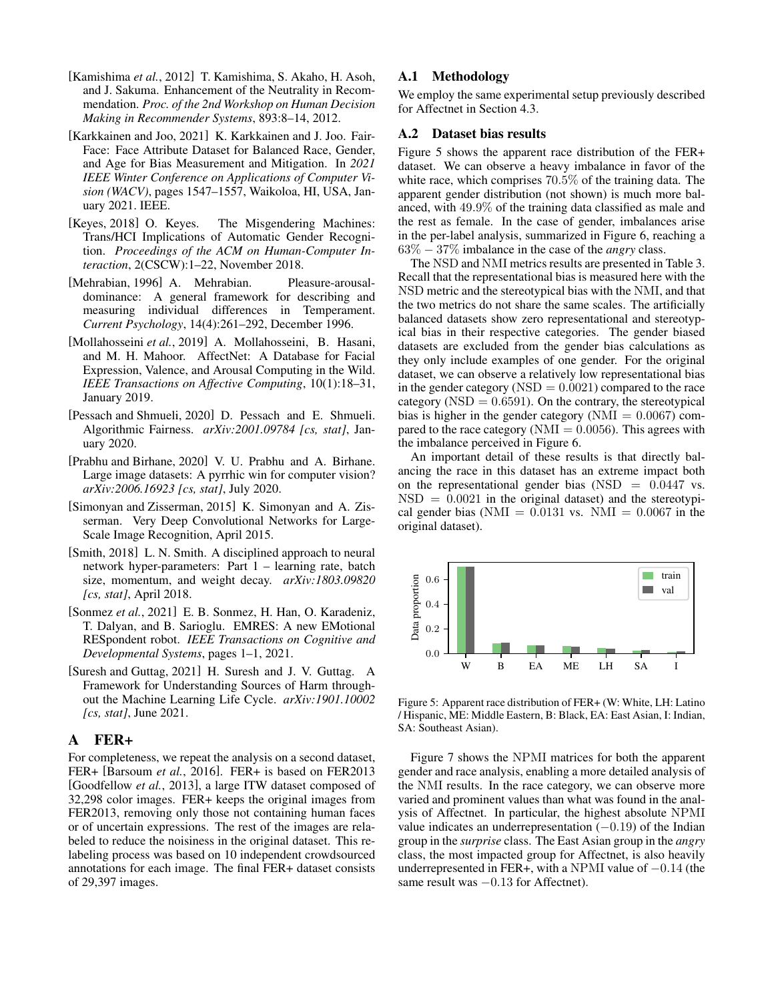- <span id="page-7-5"></span>[Kamishima *et al.*, 2012] T. Kamishima, S. Akaho, H. Asoh, and J. Sakuma. Enhancement of the Neutrality in Recommendation. *Proc. of the 2nd Workshop on Human Decision Making in Recommender Systems*, 893:8–14, 2012.
- <span id="page-7-3"></span>[Karkkainen and Joo, 2021] K. Karkkainen and J. Joo. Fair-Face: Face Attribute Dataset for Balanced Race, Gender, and Age for Bias Measurement and Mitigation. In *2021 IEEE Winter Conference on Applications of Computer Vision (WACV)*, pages 1547–1557, Waikoloa, HI, USA, January 2021. IEEE.
- <span id="page-7-0"></span>[Keyes, 2018] O. Keyes. The Misgendering Machines: Trans/HCI Implications of Automatic Gender Recognition. *Proceedings of the ACM on Human-Computer Interaction*, 2(CSCW):1–22, November 2018.
- <span id="page-7-7"></span>[Mehrabian, 1996] A. Mehrabian. Pleasure-arousaldominance: A general framework for describing and measuring individual differences in Temperament. *Current Psychology*, 14(4):261–292, December 1996.
- <span id="page-7-8"></span>[Mollahosseini *et al.*, 2019] A. Mollahosseini, B. Hasani, and M. H. Mahoor. AffectNet: A Database for Facial Expression, Valence, and Arousal Computing in the Wild. *IEEE Transactions on Affective Computing*, 10(1):18–31, January 2019.
- <span id="page-7-2"></span>[Pessach and Shmueli, 2020] D. Pessach and E. Shmueli. Algorithmic Fairness. *arXiv:2001.09784 [cs, stat]*, January 2020.
- <span id="page-7-1"></span>[Prabhu and Birhane, 2020] V. U. Prabhu and A. Birhane. Large image datasets: A pyrrhic win for computer vision? *arXiv:2006.16923 [cs, stat]*, July 2020.
- <span id="page-7-10"></span>[Simonyan and Zisserman, 2015] K. Simonyan and A. Zisserman. Very Deep Convolutional Networks for Large-Scale Image Recognition, April 2015.
- <span id="page-7-11"></span>[Smith, 2018] L. N. Smith. A disciplined approach to neural network hyper-parameters: Part 1 – learning rate, batch size, momentum, and weight decay. *arXiv:1803.09820 [cs, stat]*, April 2018.
- <span id="page-7-6"></span>[Sonmez *et al.*, 2021] E. B. Sonmez, H. Han, O. Karadeniz, T. Dalyan, and B. Sarioglu. EMRES: A new EMotional RESpondent robot. *IEEE Transactions on Cognitive and Developmental Systems*, pages 1–1, 2021.
- <span id="page-7-4"></span>[Suresh and Guttag, 2021] H. Suresh and J. V. Guttag. A Framework for Understanding Sources of Harm throughout the Machine Learning Life Cycle. *arXiv:1901.10002 [cs, stat]*, June 2021.

## <span id="page-7-9"></span>A FER+

For completeness, we repeat the analysis on a second dataset, FER+ [\[Barsoum](#page-6-11) *et al.*, 2016]. FER+ is based on FER2013 [\[Goodfellow](#page-6-14) *et al.*, 2013], a large ITW dataset composed of 32,298 color images. FER+ keeps the original images from FER2013, removing only those not containing human faces or of uncertain expressions. The rest of the images are relabeled to reduce the noisiness in the original dataset. This relabeling process was based on 10 independent crowdsourced annotations for each image. The final FER+ dataset consists of 29,397 images.

### A.1 Methodology

We employ the same experimental setup previously described for Affectnet in Section [4.3.](#page-3-0)

#### A.2 Dataset bias results

Figure [5](#page-7-12) shows the apparent race distribution of the FER+ dataset. We can observe a heavy imbalance in favor of the white race, which comprises 70.5% of the training data. The apparent gender distribution (not shown) is much more balanced, with 49.9% of the training data classified as male and the rest as female. In the case of gender, imbalances arise in the per-label analysis, summarized in Figure [6,](#page-8-0) reaching a 63% − 37% imbalance in the case of the *angry* class.

The NSD and NMI metrics results are presented in Table [3.](#page-8-1) Recall that the representational bias is measured here with the NSD metric and the stereotypical bias with the NMI, and that the two metrics do not share the same scales. The artificially balanced datasets show zero representational and stereotypical bias in their respective categories. The gender biased datasets are excluded from the gender bias calculations as they only include examples of one gender. For the original dataset, we can observe a relatively low representational bias in the gender category ( $\text{NSD} = 0.0021$ ) compared to the race category ( $NSD = 0.6591$ ). On the contrary, the stereotypical bias is higher in the gender category ( $NMI = 0.0067$ ) compared to the race category ( $NMI = 0.0056$ ). This agrees with the imbalance perceived in Figure [6.](#page-8-0)

An important detail of these results is that directly balancing the race in this dataset has an extreme impact both on the representational gender bias  $(NSD = 0.0447 \text{ vs.})$  $NSD = 0.0021$  in the original dataset) and the stereotypical gender bias (NMI =  $0.0131$  vs. NMI =  $0.0067$  in the original dataset).

<span id="page-7-12"></span>

Figure 5: Apparent race distribution of FER+ (W: White, LH: Latino / Hispanic, ME: Middle Eastern, B: Black, EA: East Asian, I: Indian, SA: Southeast Asian).

Figure [7](#page-8-2) shows the NPMI matrices for both the apparent gender and race analysis, enabling a more detailed analysis of the NMI results. In the race category, we can observe more varied and prominent values than what was found in the analysis of Affectnet. In particular, the highest absolute NPMI value indicates an underrepresentation  $(-0.19)$  of the Indian group in the *surprise* class. The East Asian group in the *angry* class, the most impacted group for Affectnet, is also heavily underrepresented in FER+, with a NPMI value of  $-0.14$  (the same result was  $-0.13$  for Affectnet).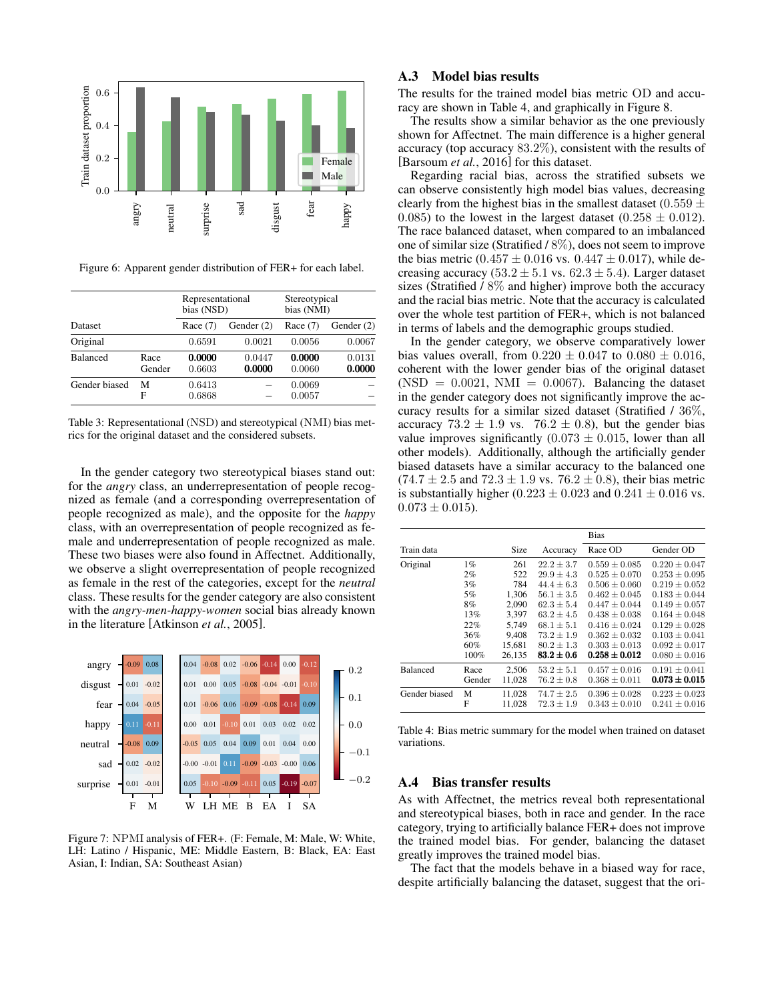<span id="page-8-0"></span>

Figure 6: Apparent gender distribution of FER+ for each label.

<span id="page-8-1"></span>

| <b>Dataset</b>  |                | Representational<br>bias (NSD) |                  | Stereotypical<br>bias (NMI) |                  |
|-----------------|----------------|--------------------------------|------------------|-----------------------------|------------------|
|                 |                | Race $(7)$                     | Gender $(2)$     | Race $(7)$                  | Gender $(2)$     |
| Original        |                | 0.6591                         | 0.0021           | 0.0056                      | 0.0067           |
| <b>Balanced</b> | Race<br>Gender | 0.0000<br>0.6603               | 0.0447<br>0.0000 | 0.0000<br>0.0060            | 0.0131<br>0.0000 |
| Gender biased   | М<br>F         | 0.6413<br>0.6868               |                  | 0.0069<br>0.0057            |                  |

Table 3: Representational (NSD) and stereotypical (NMI) bias metrics for the original dataset and the considered subsets.

In the gender category two stereotypical biases stand out: for the *angry* class, an underrepresentation of people recognized as female (and a corresponding overrepresentation of people recognized as male), and the opposite for the *happy* class, with an overrepresentation of people recognized as female and underrepresentation of people recognized as male. These two biases were also found in Affectnet. Additionally, we observe a slight overrepresentation of people recognized as female in the rest of the categories, except for the *neutral* class. These results for the gender category are also consistent with the *angry-men-happy-women* social bias already known in the literature [\[Atkinson](#page-6-13) *et al.*, 2005].

<span id="page-8-2"></span>

Figure 7: NPMI analysis of FER+. (F: Female, M: Male, W: White, LH: Latino / Hispanic, ME: Middle Eastern, B: Black, EA: East Asian, I: Indian, SA: Southeast Asian)

### A.3 Model bias results

The results for the trained model bias metric OD and accuracy are shown in Table [4,](#page-8-3) and graphically in Figure [8.](#page-9-0)

The results show a similar behavior as the one previously shown for Affectnet. The main difference is a higher general accuracy (top accuracy 83.2%), consistent with the results of [\[Barsoum](#page-6-11) *et al.*, 2016] for this dataset.

Regarding racial bias, across the stratified subsets we can observe consistently high model bias values, decreasing clearly from the highest bias in the smallest dataset (0.559  $\pm$ 0.085) to the lowest in the largest dataset (0.258  $\pm$  0.012). The race balanced dataset, when compared to an imbalanced one of similar size (Stratified / 8%), does not seem to improve the bias metric (0.457  $\pm$  0.016 vs. 0.447  $\pm$  0.017), while decreasing accuracy (53.2  $\pm$  5.1 vs. 62.3  $\pm$  5.4). Larger dataset sizes (Stratified / 8% and higher) improve both the accuracy and the racial bias metric. Note that the accuracy is calculated over the whole test partition of FER+, which is not balanced in terms of labels and the demographic groups studied.

In the gender category, we observe comparatively lower bias values overall, from  $0.220 \pm 0.047$  to  $0.080 \pm 0.016$ , coherent with the lower gender bias of the original dataset  $(NSD = 0.0021, NMI = 0.0067)$ . Balancing the dataset in the gender category does not significantly improve the accuracy results for a similar sized dataset (Stratified / 36%, accuracy  $73.2 \pm 1.9$  vs.  $76.2 \pm 0.8$ ), but the gender bias value improves significantly  $(0.073 \pm 0.015)$ , lower than all other models). Additionally, although the artificially gender biased datasets have a similar accuracy to the balanced one  $(74.7 \pm 2.5 \text{ and } 72.3 \pm 1.9 \text{ vs. } 76.2 \pm 0.8)$ , their bias metric is substantially higher (0.223  $\pm$  0.023 and 0.241  $\pm$  0.016 vs.  $0.073 \pm 0.015$ ).

<span id="page-8-3"></span>

|                 |        |        |                | <b>Bias</b>       |                   |
|-----------------|--------|--------|----------------|-------------------|-------------------|
| Train data      |        | Size   | Accuracy       | Race OD           | Gender OD         |
| Original        | 1%     | 261    | $22.2 \pm 3.7$ | $0.559 \pm 0.085$ | $0.220 \pm 0.047$ |
|                 | 2%     | 522    | $29.9 \pm 4.3$ | $0.525 \pm 0.070$ | $0.253 \pm 0.095$ |
|                 | 3%     | 784    | $44.4 \pm 6.3$ | $0.506 \pm 0.060$ | $0.219 \pm 0.052$ |
|                 | 5%     | 1.306  | $56.1 + 3.5$   | $0.462 + 0.045$   | $0.183 + 0.044$   |
|                 | 8%     | 2.090  | $62.3 + 5.4$   | $0.447 + 0.044$   | $0.149 + 0.057$   |
|                 | 13%    | 3.397  | $63.2 \pm 4.5$ | $0.438 \pm 0.038$ | $0.164 \pm 0.048$ |
|                 | 22%    | 5.749  | $68.1 \pm 5.1$ | $0.416 \pm 0.024$ | $0.129 \pm 0.028$ |
|                 | 36%    | 9.408  | $73.2 + 1.9$   | $0.362 + 0.032$   | $0.103 + 0.041$   |
|                 | 60%    | 15,681 | $80.2 + 1.3$   | $0.303 \pm 0.013$ | $0.092 \pm 0.017$ |
|                 | 100%   | 26.135 | $83.2 \pm 0.6$ | $0.258 \pm 0.012$ | $0.080 \pm 0.016$ |
| <b>Balanced</b> | Race   | 2,506  | $53.2 \pm 5.1$ | $0.457 \pm 0.016$ | $0.191 \pm 0.041$ |
|                 | Gender | 11.028 | $76.2 \pm 0.8$ | $0.368 \pm 0.011$ | $0.073 \pm 0.015$ |
| Gender biased   | М      | 11,028 | $74.7 \pm 2.5$ | $0.396 \pm 0.028$ | $0.223 \pm 0.023$ |
|                 | F      | 11.028 | $72.3 \pm 1.9$ | $0.343 \pm 0.010$ | $0.241 \pm 0.016$ |

Table 4: Bias metric summary for the model when trained on dataset variations.

#### A.4 Bias transfer results

As with Affectnet, the metrics reveal both representational and stereotypical biases, both in race and gender. In the race category, trying to artificially balance FER+ does not improve the trained model bias. For gender, balancing the dataset greatly improves the trained model bias.

The fact that the models behave in a biased way for race, despite artificially balancing the dataset, suggest that the ori-